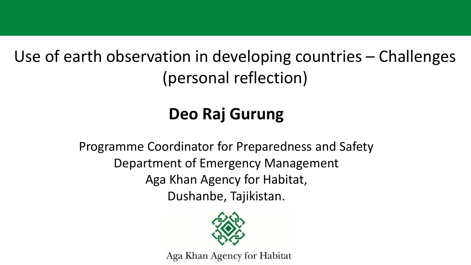Use of earth observation in developing countries – Challenges (personal reflection)

# **Deo Raj Gurung**

Programme Coordinator for Preparedness and Safety Department of Emergency Management Aga Khan Agency for Habitat, Dushanbe, Tajikistan.



Aga Khan Agency for Habitat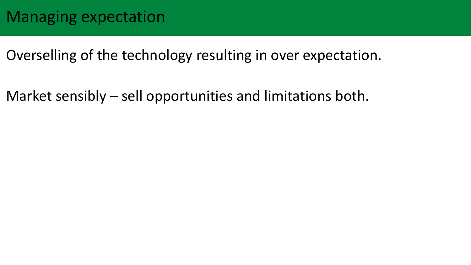Overselling of the technology resulting in over expectation.

Market sensibly – sell opportunities and limitations both.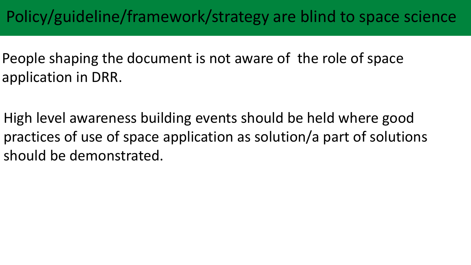## Policy/guideline/framework/strategy are blind to space science

- People shaping the document is not aware of the role of space application in DRR.
- High level awareness building events should be held where good practices of use of space application as solution/a part of solutions should be demonstrated.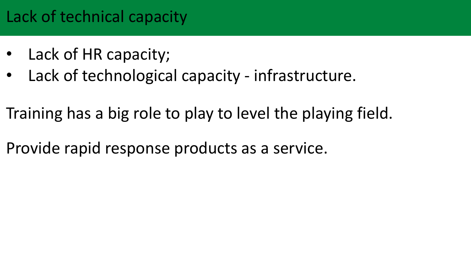## Lack of technical capacity

- Lack of HR capacity;
- Lack of technological capacity infrastructure.
- Training has a big role to play to level the playing field.
- Provide rapid response products as a service.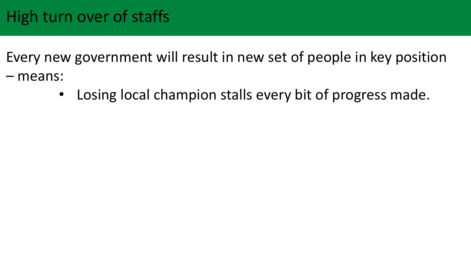Every new government will result in new set of people in key position – means:

• Losing local champion stalls every bit of progress made.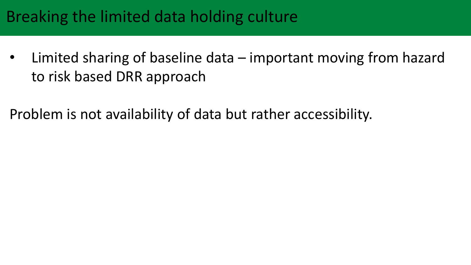#### Breaking the limited data holding culture

• Limited sharing of baseline data – important moving from hazard to risk based DRR approach

Problem is not availability of data but rather accessibility.